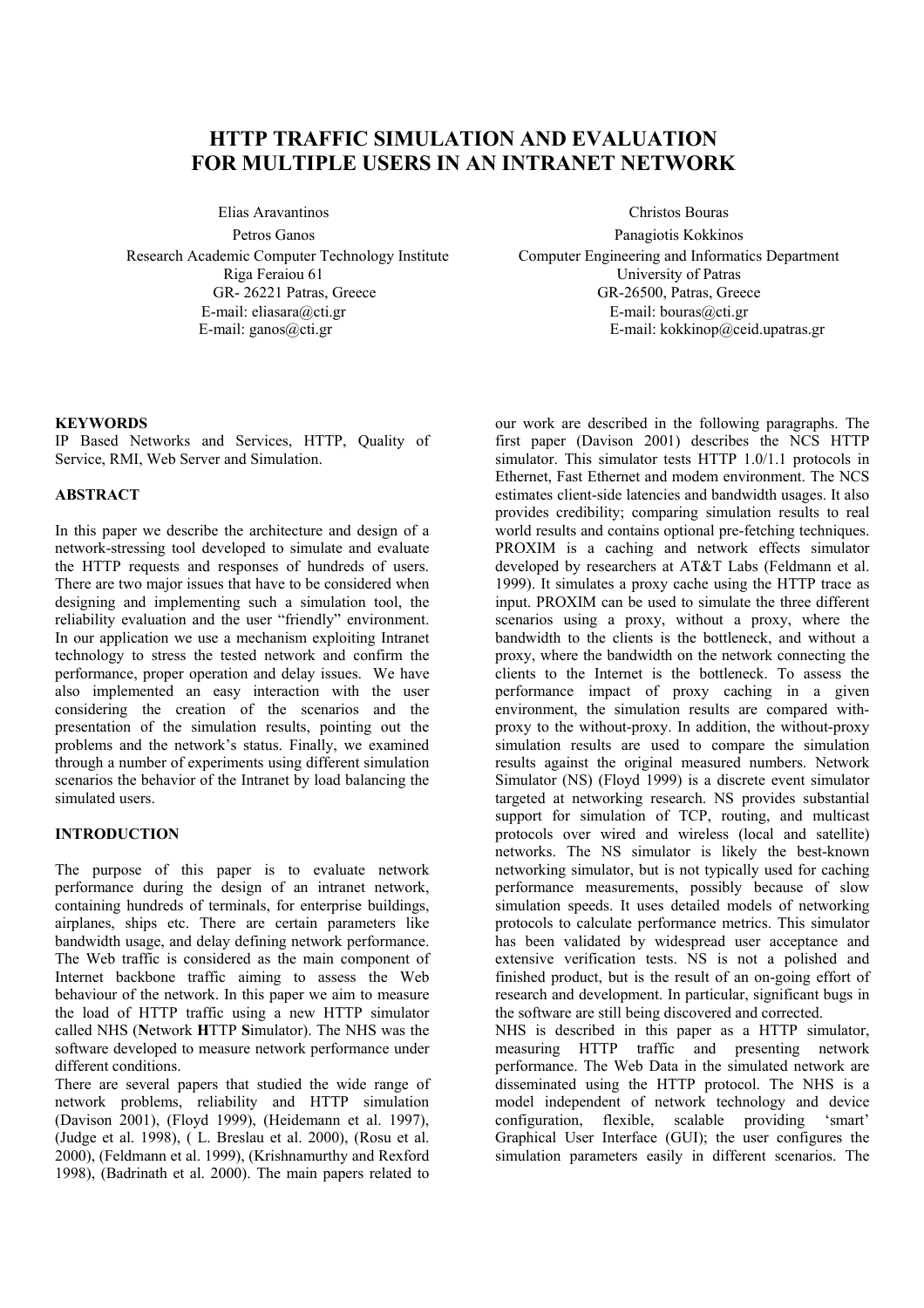# **HTTP TRAFFIC SIMULATION AND EVALUATION FOR MULTIPLE USERS IN AN INTRANET NETWORK**

Elias Aravantinos Christos Bouras

Research Academic Computer Technology Institute Computer Engineering and Informatics Department Riga Feraiou 61 University of Patras E-mail: eliasara@cti.gr E-mail: ganos@cti.gr

Petros Ganos Panagiotis Kokkinos GR- 26221 Patras, Greece GR-26500, Patras, Greece E-mail: bouras@cti.gr E-mail: kokkinop@ceid.upatras.gr

## **KEYWORDS**

IP Based Networks and Services, HTTP, Quality of Service, RMI, Web Server and Simulation.

# **ABSTRACT**

In this paper we describe the architecture and design of a network-stressing tool developed to simulate and evaluate the HTTP requests and responses of hundreds of users. There are two major issues that have to be considered when designing and implementing such a simulation tool, the reliability evaluation and the user "friendly" environment. In our application we use a mechanism exploiting Intranet technology to stress the tested network and confirm the performance, proper operation and delay issues. We have also implemented an easy interaction with the user considering the creation of the scenarios and the presentation of the simulation results, pointing out the problems and the network's status. Finally, we examined through a number of experiments using different simulation scenarios the behavior of the Intranet by load balancing the simulated users.

## **INTRODUCTION**

The purpose of this paper is to evaluate network performance during the design of an intranet network, containing hundreds of terminals, for enterprise buildings, airplanes, ships etc. There are certain parameters like bandwidth usage, and delay defining network performance. The Web traffic is considered as the main component of Internet backbone traffic aiming to assess the Web behaviour of the network. In this paper we aim to measure the load of HTTP traffic using a new HTTP simulator called NHS (**N**etwork **H**TTP **S**imulator). The NHS was the software developed to measure network performance under different conditions.

There are several papers that studied the wide range of network problems, reliability and HTTP simulation (Davison 2001), (Floyd 1999), (Heidemann et al. 1997), (Judge et al. 1998), ( L. Breslau et al. 2000), (Rosu et al. 2000), (Feldmann et al. 1999), (Krishnamurthy and Rexford 1998), (Badrinath et al. 2000). The main papers related to

our work are described in the following paragraphs. The first paper (Davison 2001) describes the NCS HTTP simulator. This simulator tests HTTP 1.0/1.1 protocols in Ethernet, Fast Ethernet and modem environment. The NCS estimates client-side latencies and bandwidth usages. It also provides credibility; comparing simulation results to real world results and contains optional pre-fetching techniques. PROXIM is a caching and network effects simulator developed by researchers at AT&T Labs (Feldmann et al. 1999). It simulates a proxy cache using the HTTP trace as input. PROXIM can be used to simulate the three different scenarios using a proxy, without a proxy, where the bandwidth to the clients is the bottleneck, and without a proxy, where the bandwidth on the network connecting the clients to the Internet is the bottleneck. To assess the performance impact of proxy caching in a given environment, the simulation results are compared withproxy to the without-proxy. In addition, the without-proxy simulation results are used to compare the simulation results against the original measured numbers. Network Simulator (NS) (Floyd 1999) is a discrete event simulator targeted at networking research. NS provides substantial support for simulation of TCP, routing, and multicast protocols over wired and wireless (local and satellite) networks. The NS simulator is likely the best-known networking simulator, but is not typically used for caching performance measurements, possibly because of slow simulation speeds. It uses detailed models of networking protocols to calculate performance metrics. This simulator has been validated by widespread user acceptance and extensive verification tests. NS is not a polished and finished product, but is the result of an on-going effort of research and development. In particular, significant bugs in the software are still being discovered and corrected.

NHS is described in this paper as a HTTP simulator, measuring HTTP traffic and presenting network performance. The Web Data in the simulated network are disseminated using the HTTP protocol. The NHS is a model independent of network technology and device<br>configuration. flexible, scalable providing 'smart' flexible, scalable providing 'smart' Graphical User Interface (GUI); the user configures the simulation parameters easily in different scenarios. The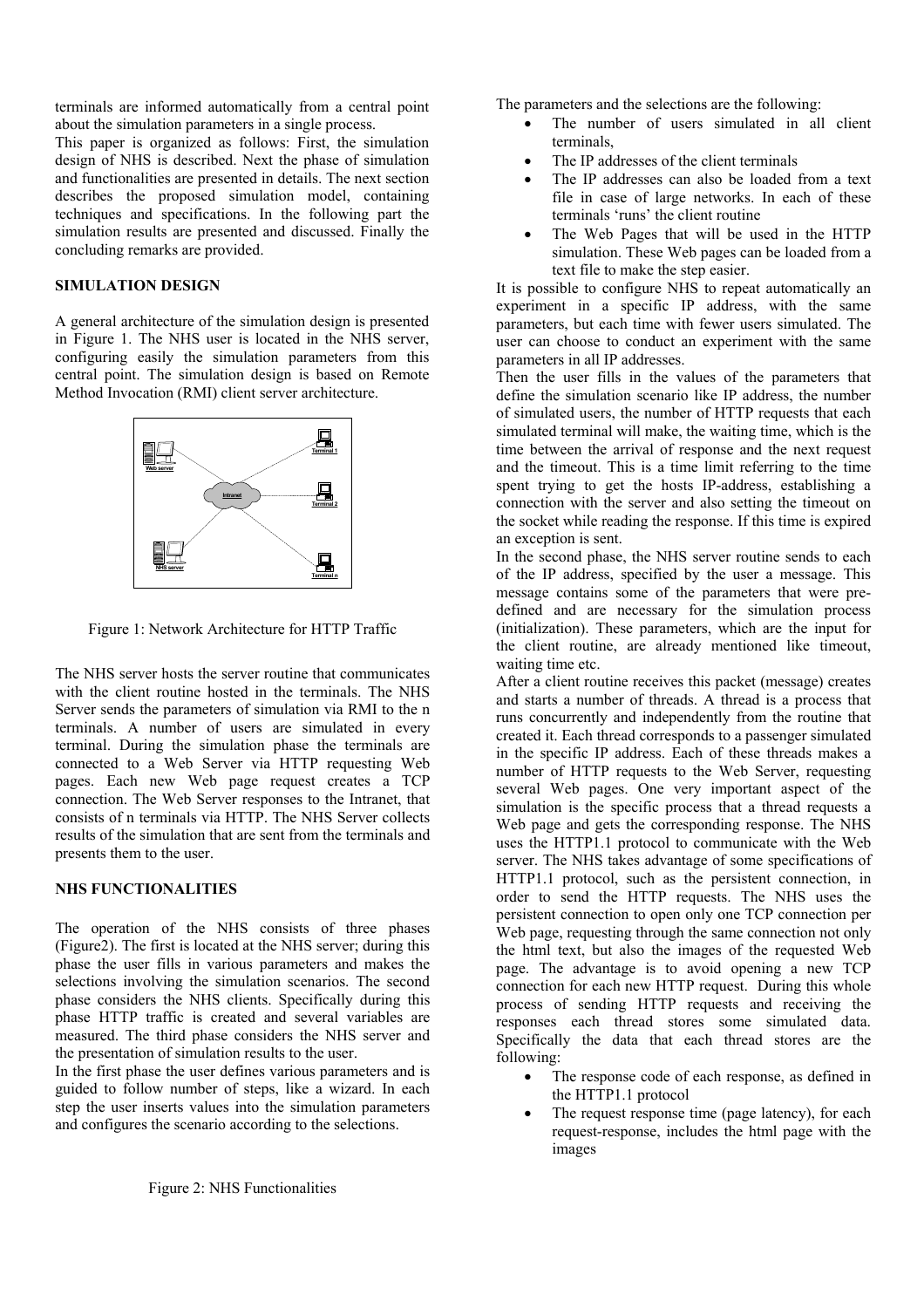terminals are informed automatically from a central point about the simulation parameters in a single process. This paper is organized as follows: First, the simulation

design of NHS is described. Next the phase of simulation and functionalities are presented in details. The next section describes the proposed simulation model, containing techniques and specifications. In the following part the simulation results are presented and discussed. Finally the concluding remarks are provided.

## **SIMULATION DESIGN**

A general architecture of the simulation design is presented in Figure 1. The NHS user is located in the NHS server, configuring easily the simulation parameters from this central point. The simulation design is based on Remote Method Invocation (RMI) client server architecture.



Figure 1: Network Architecture for HTTP Traffic

The NHS server hosts the server routine that communicates with the client routine hosted in the terminals. The NHS Server sends the parameters of simulation via RMI to the n terminals. A number of users are simulated in every terminal. During the simulation phase the terminals are connected to a Web Server via HTTP requesting Web pages. Each new Web page request creates a TCP connection. The Web Server responses to the Intranet, that consists of n terminals via HTTP. The NHS Server collects results of the simulation that are sent from the terminals and presents them to the user.

#### **NHS FUNCTIONALITIES**

The operation of the NHS consists of three phases (Figure2). The first is located at the NHS server; during this phase the user fills in various parameters and makes the selections involving the simulation scenarios. The second phase considers the NHS clients. Specifically during this phase HTTP traffic is created and several variables are measured. The third phase considers the NHS server and the presentation of simulation results to the user.

In the first phase the user defines various parameters and is guided to follow number of steps, like a wizard. In each step the user inserts values into the simulation parameters and configures the scenario according to the selections.

- The number of users simulated in all client terminals,
- The IP addresses of the client terminals
- The IP addresses can also be loaded from a text file in case of large networks. In each of these terminals 'runs' the client routine
- The Web Pages that will be used in the HTTP simulation. These Web pages can be loaded from a text file to make the step easier.

It is possible to configure NHS to repeat automatically an experiment in a specific IP address, with the same parameters, but each time with fewer users simulated. The user can choose to conduct an experiment with the same parameters in all IP addresses.

Then the user fills in the values of the parameters that define the simulation scenario like IP address, the number of simulated users, the number of HTTP requests that each simulated terminal will make, the waiting time, which is the time between the arrival of response and the next request and the timeout. This is a time limit referring to the time spent trying to get the hosts IP-address, establishing a connection with the server and also setting the timeout on the socket while reading the response. If this time is expired an exception is sent.

In the second phase, the NHS server routine sends to each of the IP address, specified by the user a message. This message contains some of the parameters that were predefined and are necessary for the simulation process (initialization). These parameters, which are the input for the client routine, are already mentioned like timeout, waiting time etc.

After a client routine receives this packet (message) creates and starts a number of threads. A thread is a process that runs concurrently and independently from the routine that created it. Each thread corresponds to a passenger simulated in the specific IP address. Each of these threads makes a number of HTTP requests to the Web Server, requesting several Web pages. One very important aspect of the simulation is the specific process that a thread requests a Web page and gets the corresponding response. The NHS uses the HTTP1.1 protocol to communicate with the Web server. The NHS takes advantage of some specifications of HTTP1.1 protocol, such as the persistent connection, in order to send the HTTP requests. The NHS uses the persistent connection to open only one TCP connection per Web page, requesting through the same connection not only the html text, but also the images of the requested Web page. The advantage is to avoid opening a new TCP connection for each new HTTP request. During this whole process of sending HTTP requests and receiving the responses each thread stores some simulated data. Specifically the data that each thread stores are the following:

- The response code of each response, as defined in the HTTP1.1 protocol
- Τhe request response time (page latency), for each request-response, includes the html page with the images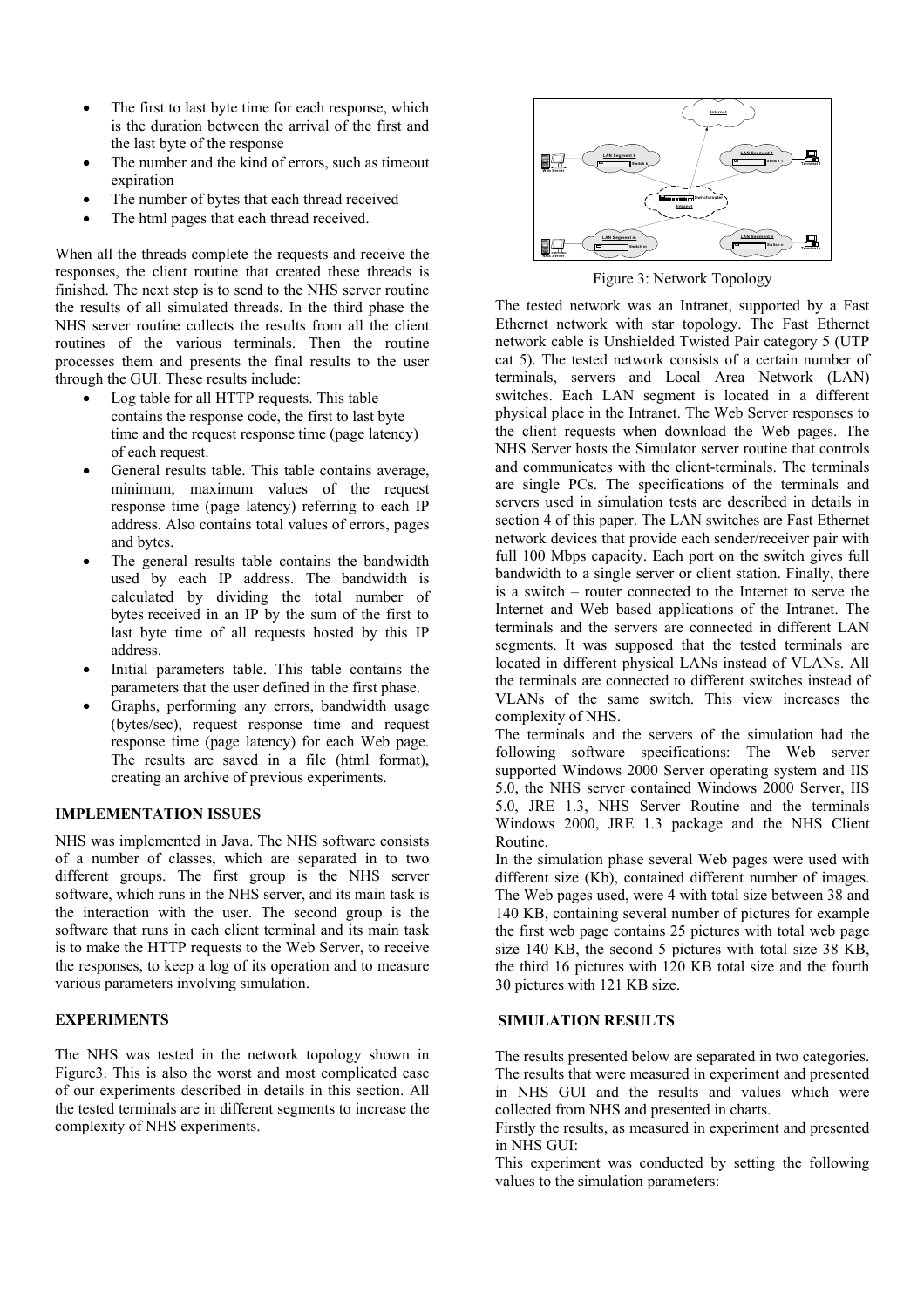- The first to last byte time for each response, which is the duration between the arrival of the first and the last byte of the response
- The number and the kind of errors, such as timeout expiration
- The number of bytes that each thread received
- The html pages that each thread received.

When all the threads complete the requests and receive the responses, the client routine that created these threads is finished. The next step is to send to the NHS server routine the results of all simulated threads. In the third phase the NHS server routine collects the results from all the client routines of the various terminals. Then the routine processes them and presents the final results to the user through the GUI. These results include:

- Log table for all HTTP requests. This table contains the response code, the first to last byte time and the request response time (page latency) of each request.
- General results table. This table contains average, minimum, maximum values of the request response time (page latency) referring to each IP address. Also contains total values of errors, pages and bytes.
- The general results table contains the bandwidth used by each IP address. The bandwidth is calculated by dividing the total number of bytes received in an IP by the sum of the first to last byte time of all requests hosted by this IP address.
- Initial parameters table. This table contains the parameters that the user defined in the first phase.
- Graphs, performing any errors, bandwidth usage (bytes/sec), request response time and request response time (page latency) for each Web page. The results are saved in a file (html format), creating an archive of previous experiments.

## **IMPLEMENTATION ISSUES**

NHS was implemented in Java. The NHS software consists of a number of classes, which are separated in to two different groups. The first group is the NHS server software, which runs in the NHS server, and its main task is the interaction with the user. The second group is the software that runs in each client terminal and its main task is to make the HTTP requests to the Web Server, to receive the responses, to keep a log of its operation and to measure various parameters involving simulation.

#### **EXPERIMENTS**

The NHS was tested in the network topology shown in Figure3. This is also the worst and most complicated case of our experiments described in details in this section. All the tested terminals are in different segments to increase the complexity of NHS experiments.



Figure 3: Network Topology

The tested network was an Intranet, supported by a Fast Ethernet network with star topology. The Fast Ethernet network cable is Unshielded Twisted Pair category 5 (UTP cat 5). The tested network consists of a certain number of terminals, servers and Local Area Network (LAN) switches. Each LAN segment is located in a different physical place in the Intranet. The Web Server responses to the client requests when download the Web pages. The NHS Server hosts the Simulator server routine that controls and communicates with the client-terminals. The terminals are single PCs. The specifications of the terminals and servers used in simulation tests are described in details in section 4 of this paper. The LAN switches are Fast Ethernet network devices that provide each sender/receiver pair with full 100 Mbps capacity. Each port on the switch gives full bandwidth to a single server or client station. Finally, there is a switch – router connected to the Internet to serve the Internet and Web based applications of the Intranet. The terminals and the servers are connected in different LAN segments. It was supposed that the tested terminals are located in different physical LANs instead of VLANs. All the terminals are connected to different switches instead of VLANs of the same switch. This view increases the complexity of NHS.

The terminals and the servers of the simulation had the following software specifications: The Web server supported Windows 2000 Server operating system and IIS 5.0, the NHS server contained Windows 2000 Server, IIS 5.0, JRE 1.3, NHS Server Routine and the terminals Windows 2000, JRE 1.3 package and the NHS Client Routine.

In the simulation phase several Web pages were used with different size (Kb), contained different number of images. The Web pages used, were 4 with total size between 38 and 140 KB, containing several number of pictures for example the first web page contains 25 pictures with total web page size 140 KB, the second 5 pictures with total size 38 KB, the third 16 pictures with 120 KB total size and the fourth 30 pictures with 121 KB size.

#### **SIMULATION RESULTS**

The results presented below are separated in two categories. The results that were measured in experiment and presented in NHS GUI and the results and values which were collected from NHS and presented in charts.

Firstly the results, as measured in experiment and presented in NHS GUI:

This experiment was conducted by setting the following values to the simulation parameters: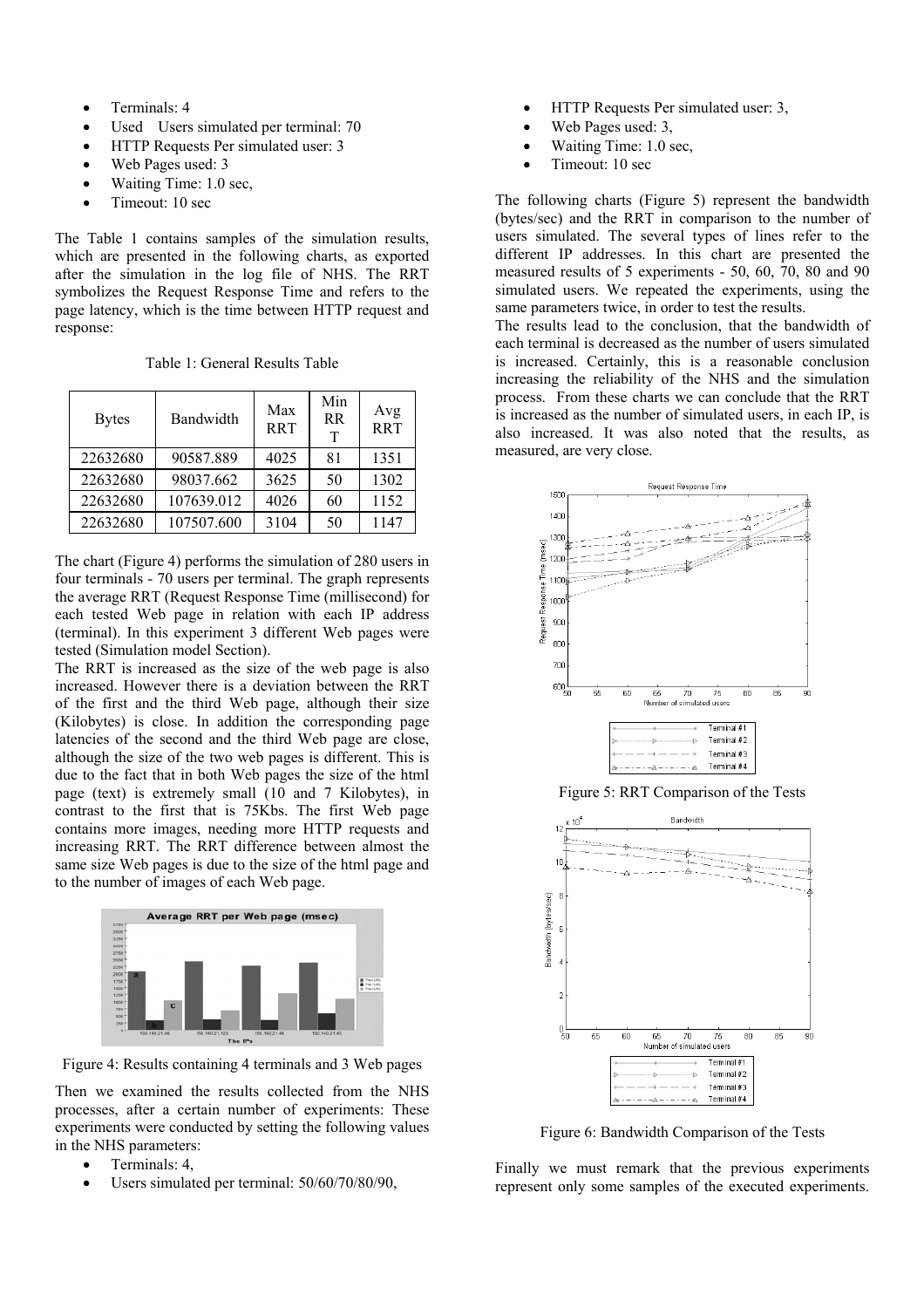- Terminals: 4
- Used Users simulated per terminal: 70
- HTTP Requests Per simulated user: 3
- Web Pages used: 3
- Waiting Time: 1.0 sec,
- Timeout: 10 sec

The Table 1 contains samples of the simulation results, which are presented in the following charts, as exported after the simulation in the log file of NHS. The RRT symbolizes the Request Response Time and refers to the page latency, which is the time between HTTP request and response:

Table 1: General Results Table

| <b>Bytes</b> | Bandwidth  | Max<br><b>RRT</b> | Min<br><b>RR</b><br>т | Avg<br><b>RRT</b> |
|--------------|------------|-------------------|-----------------------|-------------------|
| 22632680     | 90587.889  | 4025              | 81                    | 1351              |
| 22632680     | 98037.662  | 3625              | 50                    | 1302              |
| 22632680     | 107639.012 | 4026              | 60                    | 1152              |
| 22632680     | 107507.600 | 3104              | 50                    | 1147              |

The chart (Figure 4) performs the simulation of 280 users in four terminals - 70 users per terminal. The graph represents the average RRT (Request Response Time (millisecond) for each tested Web page in relation with each IP address (terminal). In this experiment 3 different Web pages were tested (Simulation model Section).

The RRT is increased as the size of the web page is also increased. However there is a deviation between the RRT of the first and the third Web page, although their size (Kilobytes) is close. In addition the corresponding page latencies of the second and the third Web page are close, although the size of the two web pages is different. This is due to the fact that in both Web pages the size of the html page (text) is extremely small (10 and 7 Kilobytes), in contrast to the first that is 75Kbs. The first Web page contains more images, needing more HTTP requests and increasing RRT. The RRT difference between almost the same size Web pages is due to the size of the html page and to the number of images of each Web page.



Figure 4: Results containing 4 terminals and 3 Web pages

Then we examined the results collected from the NHS processes, after a certain number of experiments: These experiments were conducted by setting the following values in the NHS parameters:

- Terminals: 4,
- Users simulated per terminal:  $50/60/70/80/90$ .
- HTTP Requests Per simulated user: 3,
- Web Pages used: 3.
- Waiting Time: 1.0 sec,
- Timeout: 10 sec

The following charts (Figure 5) represent the bandwidth (bytes/sec) and the RRT in comparison to the number of users simulated. The several types of lines refer to the different IP addresses. In this chart are presented the measured results of 5 experiments - 50, 60, 70, 80 and 90 simulated users. We repeated the experiments, using the same parameters twice, in order to test the results.

The results lead to the conclusion, that the bandwidth of each terminal is decreased as the number of users simulated is increased. Certainly, this is a reasonable conclusion increasing the reliability of the NHS and the simulation process. From these charts we can conclude that the RRT is increased as the number of simulated users, in each IP, is also increased. It was also noted that the results, as measured, are very close.



Figure 5: RRT Comparison of the Tests



Figure 6: Bandwidth Comparison of the Tests

Finally we must remark that the previous experiments represent only some samples of the executed experiments.